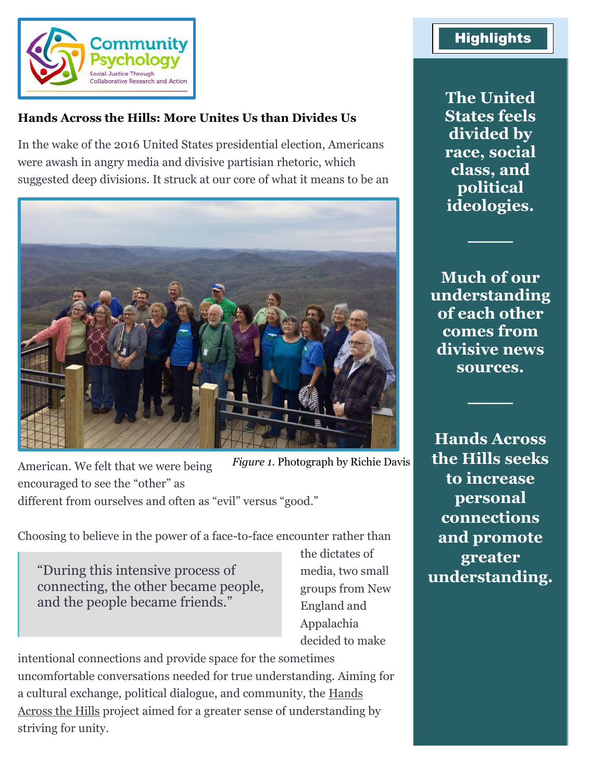

#### **Hands Across the Hills: More Unites Us than Divides Us**

In the wake of the 2016 United States presidential election, Americans were awash in angry media and divisive partisian rhetoric, which suggested deep divisions. It struck at our core of what it means to be an



American. We felt that we were being encouraged to see the "other" as different from ourselves and often as "evil" versus "good." *Figure 1*. Photograph by Richie Davis

Choosing to believe in the power of a face-to-face encounter rather than

"During this intensive process of connecting, the other became people, and the people became friends."

the dictates of media, two small groups from New England and Appalachia decided to make

intentional connections and provide space for the sometimes uncomfortable conversations needed for true understanding. Aiming for a cultural exchange, political dialogue, and community, the [Hands](https://www.handsacrossthehills.org/)  [Across the Hills](https://www.handsacrossthehills.org/) project aimed for a greater sense of understanding by striving for unity.

## **Highlights**

**The United States feels divided by race, social class, and political ideologies.**

**Much of our understanding of each other comes from divisive news sources.**

**────**

**────**

**Hands Across the Hills seeks to increase personal connections and promote greater understanding.**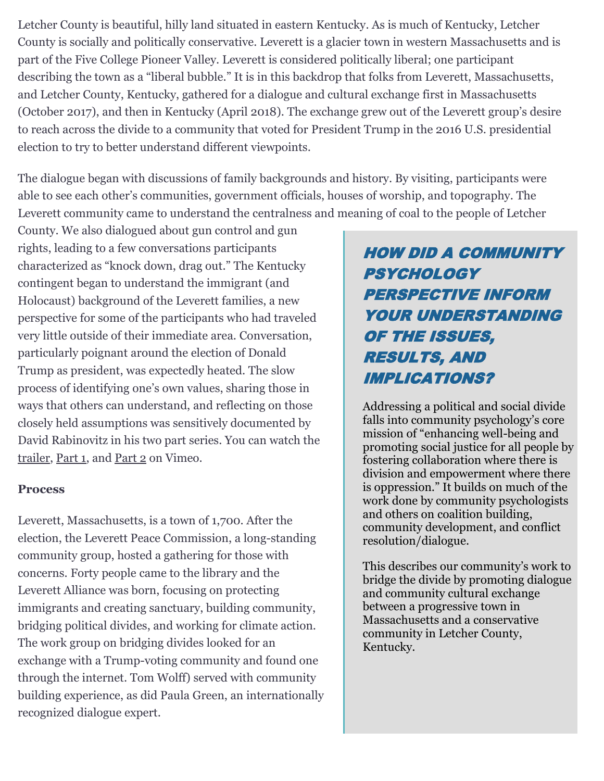Letcher County is beautiful, hilly land situated in eastern Kentucky. As is much of Kentucky, Letcher County is socially and politically conservative. Leverett is a glacier town in western Massachusetts and is part of the Five College Pioneer Valley. Leverett is considered politically liberal; one participant describing the town as a "liberal bubble." It is in this backdrop that folks from Leverett, Massachusetts, and Letcher County, Kentucky, gathered for a dialogue and cultural exchange first in Massachusetts (October 2017), and then in Kentucky (April 2018). The exchange grew out of the Leverett group's desire to reach across the divide to a community that voted for President Trump in the 2016 U.S. presidential election to try to better understand different viewpoints.

The dialogue began with discussions of family backgrounds and history. By visiting, participants were able to see each other's communities, government officials, houses of worship, and topography. The Leverett community came to understand the centralness and meaning of coal to the people of Letcher

County. We also dialogued about gun control and gun rights, leading to a few conversations participants characterized as "knock down, drag out." The Kentucky contingent began to understand the immigrant (and Holocaust) background of the Leverett families, a new perspective for some of the participants who had traveled very little outside of their immediate area. Conversation, particularly poignant around the election of Donald Trump as president, was expectedly heated. The slow process of identifying one's own values, sharing those in ways that others can understand, and reflecting on those closely held assumptions was sensitively documented by David Rabinovitz in his two part series. You can watch the [trailer,](https://vimeo.com/280620110) [Part 1,](https://www.youtube.com/watch?v=pOFXM7eUeUo) and [Part 2](https://vimeo.com/299280925) on Vimeo.

#### **Process**

Leverett, Massachusetts, is a town of 1,700. After the election, the Leverett Peace Commission, a long-standing community group, hosted a gathering for those with concerns. Forty people came to the library and the Leverett Alliance was born, focusing on protecting immigrants and creating sanctuary, building community, bridging political divides, and working for climate action. The work group on bridging divides looked for an exchange with a Trump-voting community and found one through the internet. Tom Wolff) served with community building experience, as did Paula Green, an internationally recognized dialogue expert.

# HOW DID A COMMUNITY **PSYCHOLOGY** PERSPECTIVE INFORM YOUR UNDERSTANDING OF THE ISSUES, RESULTS, AND IMPLICATIONS?

Addressing a political and social divide falls into community psychology's core mission of "enhancing well-being and promoting social justice for all people by fostering collaboration where there is division and empowerment where there is oppression." It builds on much of the work done by community psychologists and others on coalition building, community development, and conflict resolution/dialogue.

This describes our community's work to bridge the divide by promoting dialogue and community cultural exchange between a progressive town in Massachusetts and a conservative community in Letcher County, Kentucky.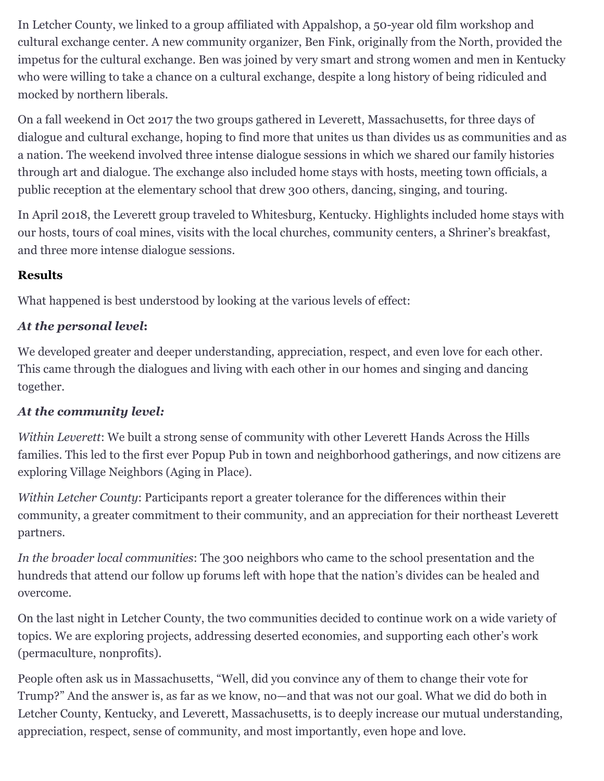In Letcher County, we linked to a group affiliated with Appalshop, a 50-year old film workshop and cultural exchange center. A new community organizer, Ben Fink, originally from the North, provided the impetus for the cultural exchange. Ben was joined by very smart and strong women and men in Kentucky who were willing to take a chance on a cultural exchange, despite a long history of being ridiculed and mocked by northern liberals.

On a fall weekend in Oct 2017 the two groups gathered in Leverett, Massachusetts, for three days of dialogue and cultural exchange, hoping to find more that unites us than divides us as communities and as a nation. The weekend involved three intense dialogue sessions in which we shared our family histories through art and dialogue. The exchange also included home stays with hosts, meeting town officials, a public reception at the elementary school that drew 300 others, dancing, singing, and touring.

In April 2018, the Leverett group traveled to Whitesburg, Kentucky. Highlights included home stays with our hosts, tours of coal mines, visits with the local churches, community centers, a Shriner's breakfast, and three more intense dialogue sessions.

#### **Results**

What happened is best understood by looking at the various levels of effect:

### *At the personal level***:**

We developed greater and deeper understanding, appreciation, respect, and even love for each other. This came through the dialogues and living with each other in our homes and singing and dancing together.

### *At the community level:*

*Within Leverett*: We built a strong sense of community with other Leverett Hands Across the Hills families. This led to the first ever Popup Pub in town and neighborhood gatherings, and now citizens are exploring Village Neighbors (Aging in Place).

*Within Letcher County*: Participants report a greater tolerance for the differences within their community, a greater commitment to their community, and an appreciation for their northeast Leverett partners.

*In the broader local communities*: The 300 neighbors who came to the school presentation and the hundreds that attend our follow up forums left with hope that the nation's divides can be healed and overcome.

On the last night in Letcher County, the two communities decided to continue work on a wide variety of topics. We are exploring projects, addressing deserted economies, and supporting each other's work (permaculture, nonprofits).

People often ask us in Massachusetts, "Well, did you convince any of them to change their vote for Trump?" And the answer is, as far as we know, no—and that was not our goal. What we did do both in Letcher County, Kentucky, and Leverett, Massachusetts, is to deeply increase our mutual understanding, appreciation, respect, sense of community, and most importantly, even hope and love.